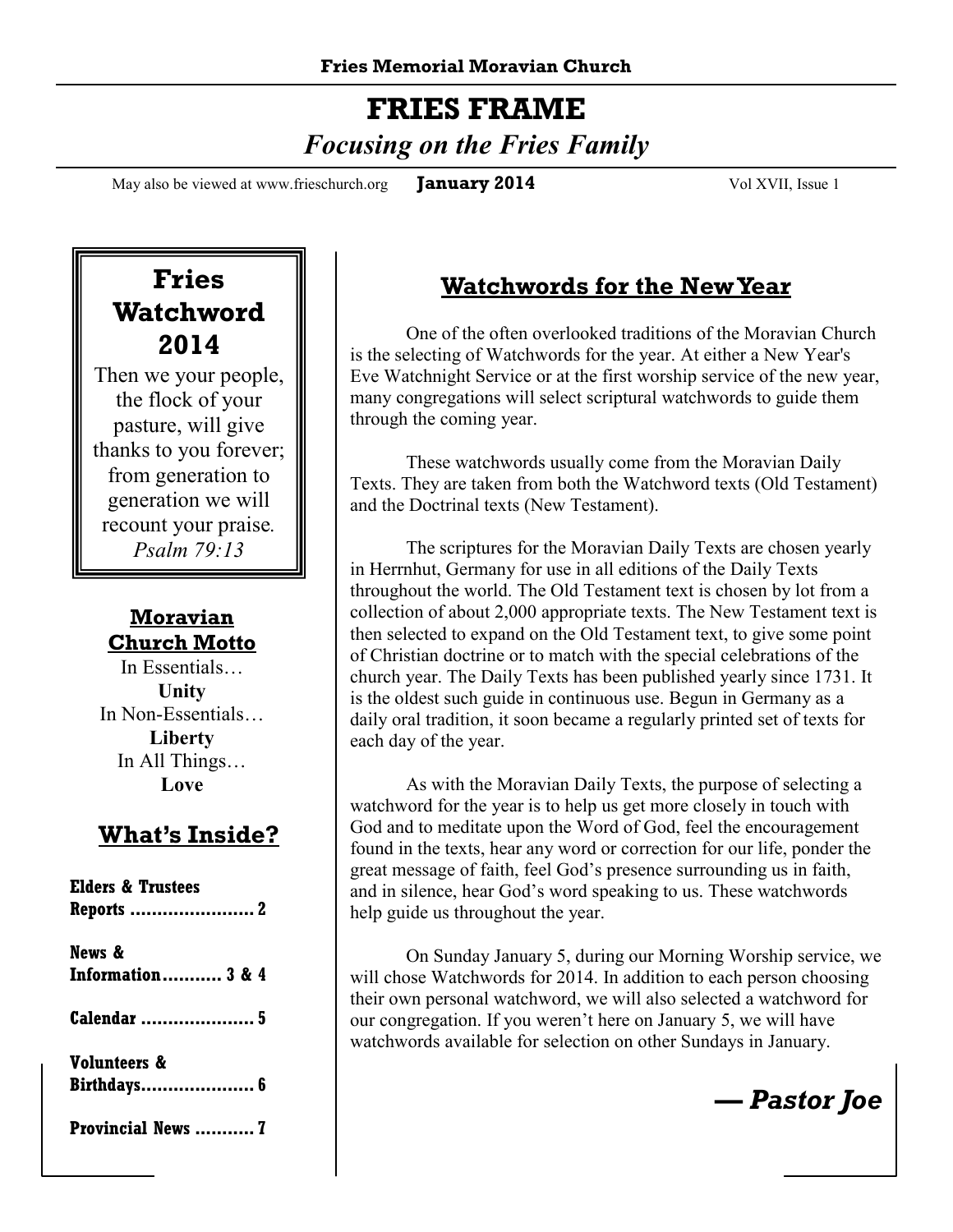# **FRIES FRAME**   *Focusing on the Fries Family*

May also be viewed at www.frieschurch.org **January 2014** Vol XVII, Issue 1

# **Fries Watchword 2014**

Then we your people, the flock of your pasture, will give thanks to you forever; from generation to generation we will recount your praise*. Psalm 79:13* 

#### **Moravian Church Motto**

In Essentials… **Unity** In Non-Essentials… **Liberty** In All Things… **Love**

### **What's Inside?**

| <b>Elders &amp; Trustees</b><br><b>Reports  2</b> |
|---------------------------------------------------|
| News &                                            |
| <b>Information 3 &amp; 4</b>                      |
| <b>Calendar</b> 5                                 |
| Volunteers &                                      |
| Birthdays 6                                       |
| Provincial News  7                                |

### **Watchwords for the New Year**

 One of the often overlooked traditions of the Moravian Church is the selecting of Watchwords for the year. At either a New Year's Eve Watchnight Service or at the first worship service of the new year, many congregations will select scriptural watchwords to guide them through the coming year.

 These watchwords usually come from the Moravian Daily Texts. They are taken from both the Watchword texts (Old Testament) and the Doctrinal texts (New Testament).

 The scriptures for the Moravian Daily Texts are chosen yearly in Herrnhut, Germany for use in all editions of the Daily Texts throughout the world. The Old Testament text is chosen by lot from a collection of about 2,000 appropriate texts. The New Testament text is then selected to expand on the Old Testament text, to give some point of Christian doctrine or to match with the special celebrations of the church year. The Daily Texts has been published yearly since 1731. It is the oldest such guide in continuous use. Begun in Germany as a daily oral tradition, it soon became a regularly printed set of texts for each day of the year.

 As with the Moravian Daily Texts, the purpose of selecting a watchword for the year is to help us get more closely in touch with God and to meditate upon the Word of God, feel the encouragement found in the texts, hear any word or correction for our life, ponder the great message of faith, feel God's presence surrounding us in faith, and in silence, hear God's word speaking to us. These watchwords help guide us throughout the year.

 On Sunday January 5, during our Morning Worship service, we will chose Watchwords for 2014. In addition to each person choosing their own personal watchword, we will also selected a watchword for our congregation. If you weren't here on January 5, we will have watchwords available for selection on other Sundays in January.

*— Pastor Joe*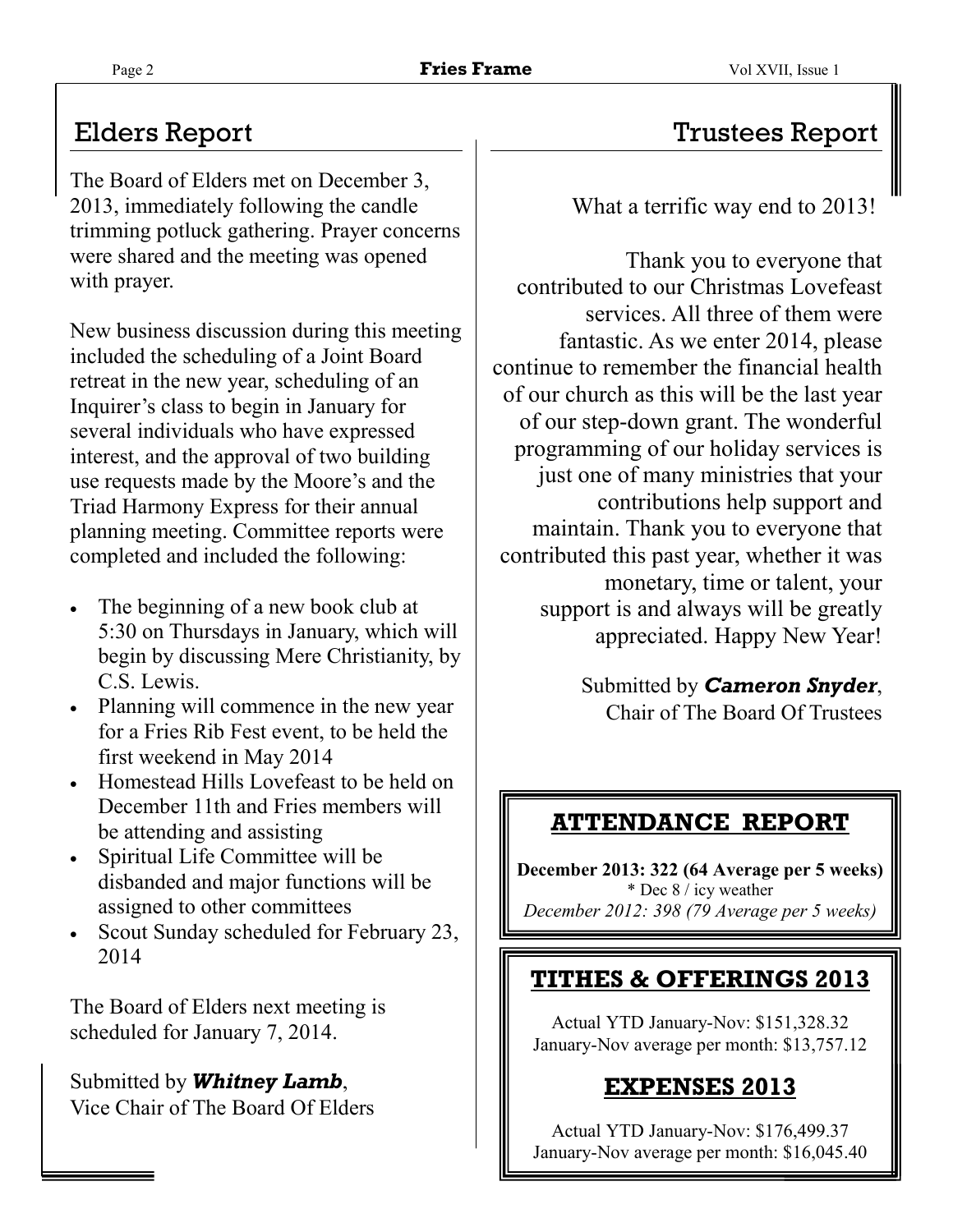The Board of Elders met on December 3, 2013, immediately following the candle trimming potluck gathering. Prayer concerns were shared and the meeting was opened with prayer.

New business discussion during this meeting included the scheduling of a Joint Board retreat in the new year, scheduling of an Inquirer's class to begin in January for several individuals who have expressed interest, and the approval of two building use requests made by the Moore's and the Triad Harmony Express for their annual planning meeting. Committee reports were completed and included the following:

- The beginning of a new book club at 5:30 on Thursdays in January, which will begin by discussing Mere Christianity, by C.S. Lewis.
- Planning will commence in the new year for a Fries Rib Fest event, to be held the first weekend in May 2014
- Homestead Hills Lovefeast to be held on December 11th and Fries members will be attending and assisting
- Spiritual Life Committee will be disbanded and major functions will be assigned to other committees
- Scout Sunday scheduled for February 23, 2014

The Board of Elders next meeting is scheduled for January 7, 2014.

Submitted by *Whitney Lamb*, Vice Chair of The Board Of Elders

# Elders Report Trustees Report

What a terrific way end to 2013!

Thank you to everyone that contributed to our Christmas Lovefeast services. All three of them were fantastic. As we enter 2014, please continue to remember the financial health of our church as this will be the last year of our step-down grant. The wonderful programming of our holiday services is just one of many ministries that your contributions help support and maintain. Thank you to everyone that contributed this past year, whether it was monetary, time or talent, your support is and always will be greatly appreciated. Happy New Year!

> Submitted by *Cameron Snyder*, Chair of The Board Of Trustees

# **ATTENDANCE REPORT**

**December 2013: 322 (64 Average per 5 weeks)**  \* Dec 8 / icy weather *December 2012: 398 (79 Average per 5 weeks)*

# **TITHES & OFFERINGS 2013**

Actual YTD January-Nov: \$151,328.32 January-Nov average per month: \$13,757.12

# **EXPENSES 2013**

Actual YTD January-Nov: \$176,499.37 January-Nov average per month: \$16,045.40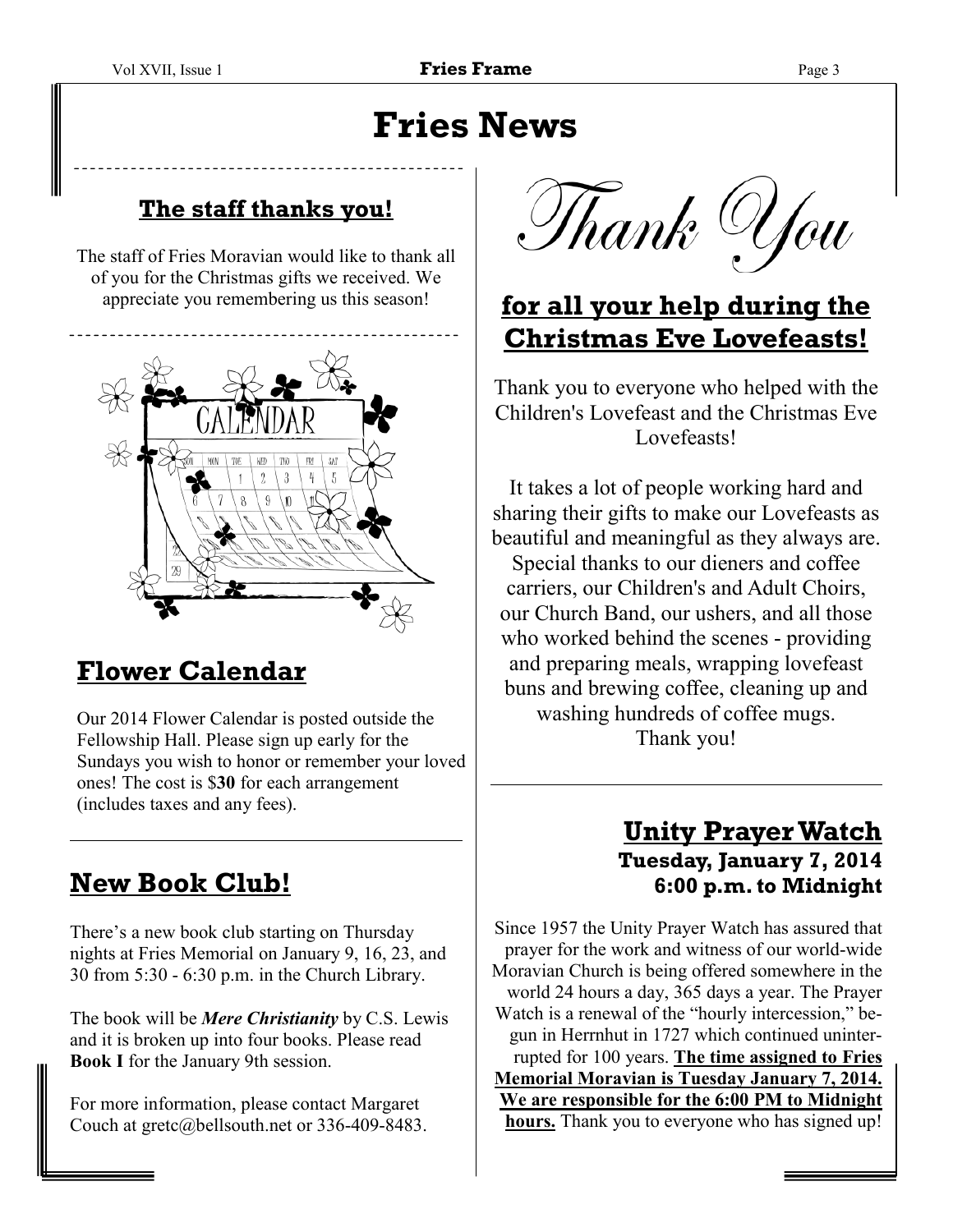# **Fries News**

### **The staff thanks you!**

The staff of Fries Moravian would like to thank all of you for the Christmas gifts we received. We appreciate you remembering us this season!



# **Flower Calendar**

Our 2014 Flower Calendar is posted outside the Fellowship Hall. Please sign up early for the Sundays you wish to honor or remember your loved ones! The cost is \$**30** for each arrangement (includes taxes and any fees).

# **New Book Club!**

There's a new book club starting on Thursday nights at Fries Memorial on January 9, 16, 23, and 30 from 5:30 - 6:30 p.m. in the Church Library.

The book will be *Mere Christianity* by C.S. Lewis and it is broken up into four books. Please read **Book I** for the January 9th session.

For more information, please contact Margaret Couch at gretc@bellsouth.net or 336-409-8483.

Thank U*fo*u

# **for all your help during the Christmas Eve Lovefeasts!**

Thank you to everyone who helped with the Children's Lovefeast and the Christmas Eve Lovefeasts!

It takes a lot of people working hard and sharing their gifts to make our Lovefeasts as beautiful and meaningful as they always are. Special thanks to our dieners and coffee carriers, our Children's and Adult Choirs, our Church Band, our ushers, and all those who worked behind the scenes - providing and preparing meals, wrapping lovefeast buns and brewing coffee, cleaning up and washing hundreds of coffee mugs. Thank you!

### **Unity Prayer Watch Tuesday, January 7, 2014 6:00 p.m. to Midnight**

Since 1957 the Unity Prayer Watch has assured that prayer for the work and witness of our world-wide Moravian Church is being offered somewhere in the world 24 hours a day, 365 days a year. The Prayer Watch is a renewal of the "hourly intercession," begun in Herrnhut in 1727 which continued uninterrupted for 100 years. **The time assigned to Fries Memorial Moravian is Tuesday January 7, 2014. We are responsible for the 6:00 PM to Midnight hours.** Thank you to everyone who has signed up!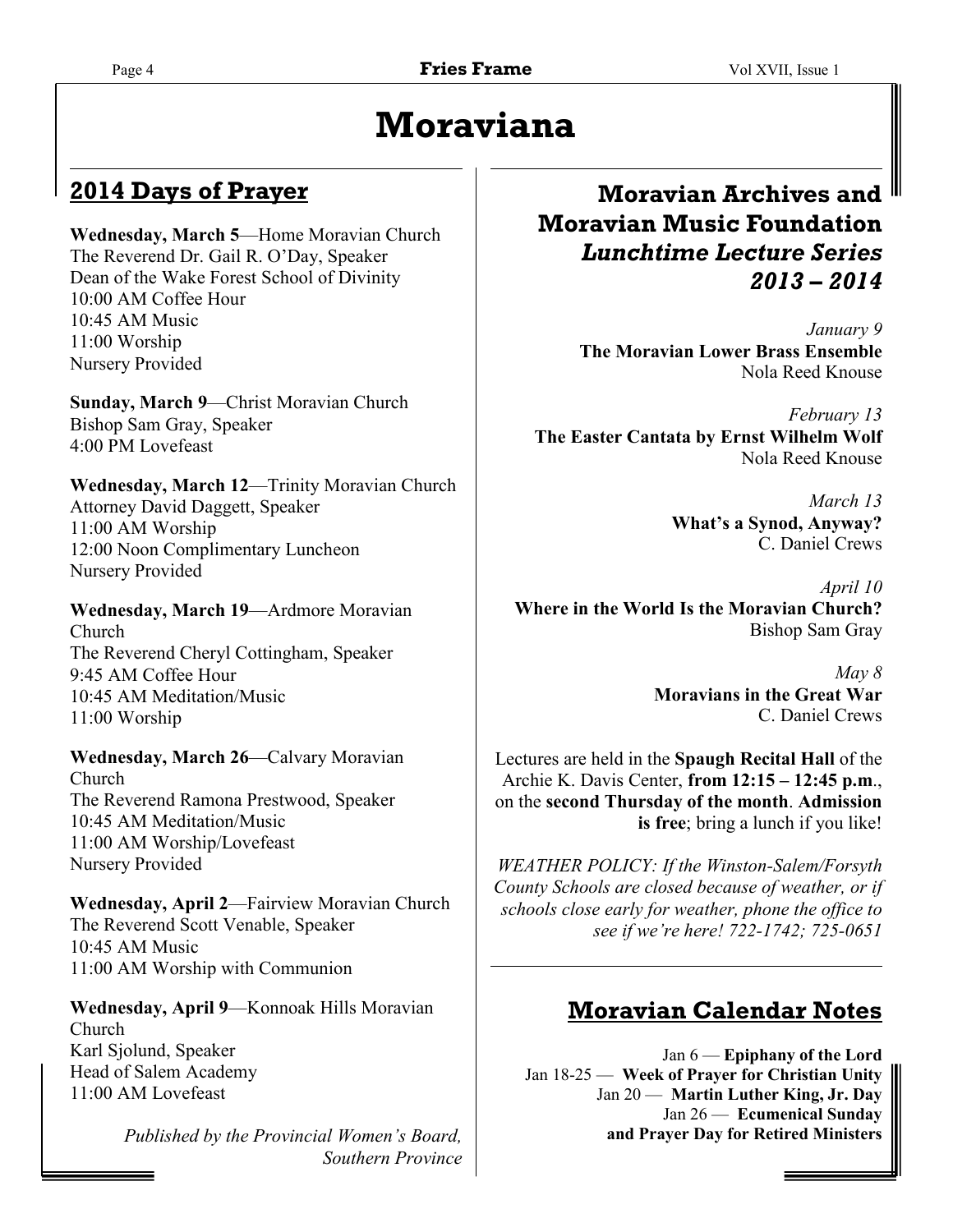# **Moraviana**

### **2014 Days of Prayer**

**Wednesday, March 5**—Home Moravian Church The Reverend Dr. Gail R. O'Day, Speaker Dean of the Wake Forest School of Divinity 10:00 AM Coffee Hour 10:45 AM Music 11:00 Worship Nursery Provided

**Sunday, March 9**—Christ Moravian Church Bishop Sam Gray, Speaker 4:00 PM Lovefeast

**Wednesday, March 12**—Trinity Moravian Church Attorney David Daggett, Speaker 11:00 AM Worship 12:00 Noon Complimentary Luncheon Nursery Provided

**Wednesday, March 19**—Ardmore Moravian Church The Reverend Cheryl Cottingham, Speaker 9:45 AM Coffee Hour 10:45 AM Meditation/Music 11:00 Worship

**Wednesday, March 26**—Calvary Moravian Church The Reverend Ramona Prestwood, Speaker 10:45 AM Meditation/Music 11:00 AM Worship/Lovefeast Nursery Provided

**Wednesday, April 2**—Fairview Moravian Church The Reverend Scott Venable, Speaker 10:45 AM Music 11:00 AM Worship with Communion

**Wednesday, April 9**—Konnoak Hills Moravian Church Karl Sjolund, Speaker Head of Salem Academy 11:00 AM Lovefeast

> *Published by the Provincial Women's Board, Southern Province*

### **Moravian Archives and Moravian Music Foundation**  *Lunchtime Lecture Series 2013 – 2014*

*January 9*  **The Moravian Lower Brass Ensemble**  Nola Reed Knouse

*February 13*  **The Easter Cantata by Ernst Wilhelm Wolf**  Nola Reed Knouse

> *March 13*  **What's a Synod, Anyway?**  C. Daniel Crews

*April 10*  **Where in the World Is the Moravian Church?**  Bishop Sam Gray

> *May 8*  **Moravians in the Great War**  C. Daniel Crews

Lectures are held in the **Spaugh Recital Hall** of the Archie K. Davis Center, **from 12:15 – 12:45 p.m**., on the **second Thursday of the month**. **Admission is free**; bring a lunch if you like!

*WEATHER POLICY: If the Winston-Salem/Forsyth County Schools are closed because of weather, or if schools close early for weather, phone the office to see if we're here! 722-1742; 725-0651* 

### **Moravian Calendar Notes**

Jan 6 — **Epiphany of the Lord** Jan 18-25 — **Week of Prayer for Christian Unity**  Jan 20 — **Martin Luther King, Jr. Day**  Jan 26 — **Ecumenical Sunday and Prayer Day for Retired Ministers**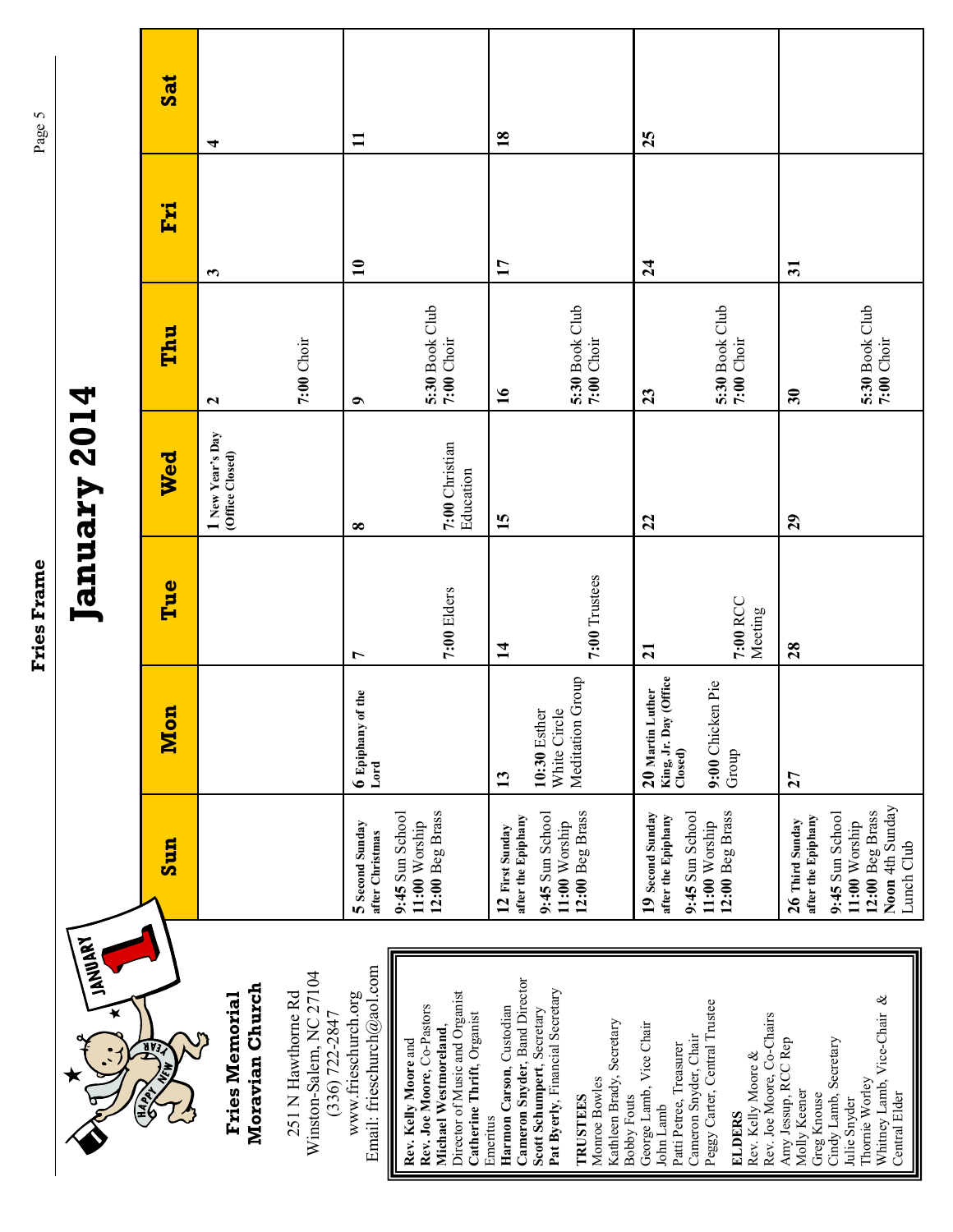| iau         |
|-------------|
| ļ           |
|             |
|             |
|             |
|             |
|             |
|             |
|             |
|             |
|             |
|             |
|             |
|             |
|             |
|             |
|             |
|             |
|             |
|             |
|             |
|             |
|             |
|             |
|             |
|             |
|             |
|             |
|             |
|             |
|             |
|             |
|             |
|             |
|             |
|             |
|             |
|             |
|             |
| ram<br>うしくり |
|             |
| ו<br>נו     |
|             |
| ı           |
|             |
|             |

| 4                          |
|----------------------------|
| ╼                          |
| 0                          |
| N                          |
| ļ<br>N<br>ದ<br>p<br>Я<br>ದ |
|                            |

| <b>LANDARY</b>                                                                                                                                       |                                                                                      |                                                                    |                     | January 2014                        |                              |                         |              |
|------------------------------------------------------------------------------------------------------------------------------------------------------|--------------------------------------------------------------------------------------|--------------------------------------------------------------------|---------------------|-------------------------------------|------------------------------|-------------------------|--------------|
| $\frac{1}{2}$                                                                                                                                        | Sun                                                                                  | <b>Mon</b>                                                         | Tue                 | Wed                                 | Thu                          | Fri                     | <b>Sat</b>   |
| Moravian Church<br><b>Fries Memorial</b>                                                                                                             |                                                                                      |                                                                    |                     | I New Year's Day<br>(Office Closed) | $\mathbf{z}$                 | 3                       | ₹            |
| Winston-Salem, NC 27104<br>251 N Hawthorne Rd<br>$(336)$ 722-2847                                                                                    |                                                                                      |                                                                    |                     |                                     | 7:00 Choir                   |                         |              |
| Email: frieschurch@aol.com<br>www.frieschurch.org                                                                                                    | 5 Second Sunday<br>after Christmas                                                   | 6 Epiphany of the<br>Lord                                          | $\overline{r}$      | $\infty$                            | $\bullet$                    | $\mathbf{10}$           | $\mathbf{I}$ |
| Director of Music and Organist<br>Rev. Joe Moore, Co-Pastors<br>Catherine Thrift, Organist<br>Michael Westmoreland,<br>Rev. Kelly Moore and          | 12:00 Beg Brass<br>9:45 Sun School<br>11:00 Worship                                  |                                                                    | 7:00 Elders         | 7:00 Christian<br>Education         | 5:30 Book Club<br>7:00 Choir |                         |              |
| Cameron Snyder, Band Director<br>Harmon Carson, Custodian<br>Emeritus                                                                                | after the Epiphany<br>12 First Sunday                                                | 13                                                                 | $\overline{14}$     | 15                                  | $\overline{16}$              | 17                      | 18           |
| Pat Byerly, Financial Secretary<br>Scott Schumpert, Secretary<br>Kathleen Brady, Secretary<br>Monroe Bowles<br><b>Bobby Fouts</b><br><b>TRUSTEES</b> | 12:00 Beg Brass<br>9:45 Sun School<br>11:00 Worship                                  | White Circle<br>Meditation Group<br>10:30 Esther                   | 7:00 Trustees       |                                     | 5:30 Book Club<br>7:00 Choir |                         |              |
| George Lamb, Vice Chair<br>Patti Petree, Treasurer<br>John Lamb                                                                                      | 9:45 Sun School<br>19 Second Sunday<br>after the Epiphany                            | <b>Office</b><br>20 Martin Luther<br>King, Jr. Day<br>$\Box$ osed) | $\overline{21}$     | 22                                  | 23                           | 24                      | 25           |
| Peggy Carter, Central Trustee<br>Rev. Joe Moore, Co-Chairs<br>Cameron Snyder, Chair<br>Rev. Kelly Moore &<br><b>ELDERS</b>                           | 12:00 Beg Brass<br>11:00 Worship                                                     | 9:00 Chicken Pie<br>Group                                          | 7:00 RCC<br>Meeting |                                     | 5:30 Book Club<br>7:00 Choir |                         |              |
| Amy Jessup, RCC Rep<br>Molly Keener<br>Greg Knouse                                                                                                   | after the Epiphany<br>26 Third Sunday                                                | 27                                                                 | 28                  | 29                                  | 30                           | $\overline{\mathbf{3}}$ |              |
| Whitney Lamb, Vice-Chair &<br>Cindy Lamb, Secretary<br>Thornie Worley<br><b>Central Elder</b><br>Julie Snyder                                        | Noon 4th Sunday<br>12:00 Beg Brass<br>9:45 Sun School<br>11:00 Worship<br>Lunch Club |                                                                    |                     |                                     | 5:30 Book Club<br>7:00 Choir |                         |              |

Page 5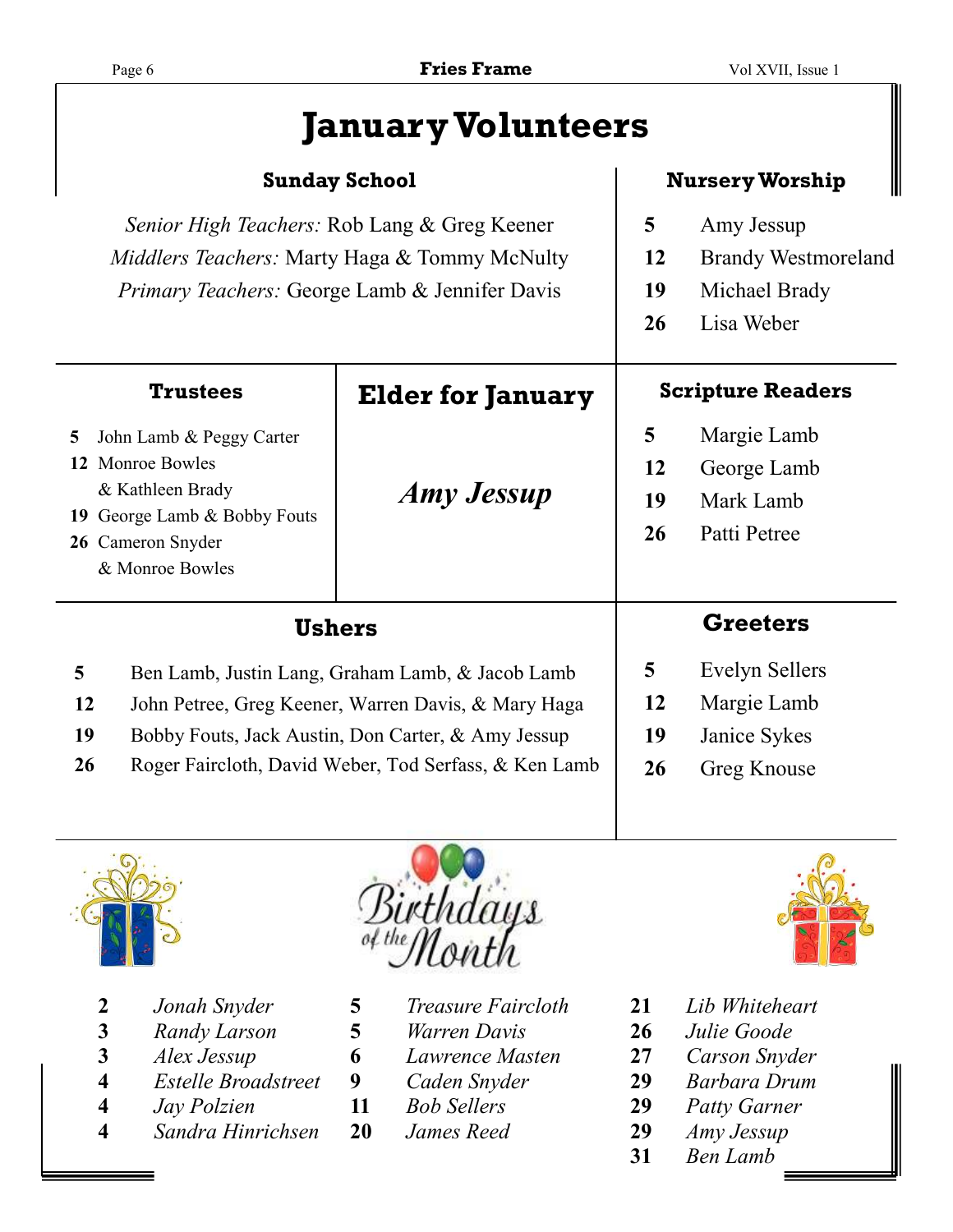# **January Volunteers**

#### **Nursery Worship**

| Senior High Teachers: Rob Lang & Greg Keener<br><i>Middlers Teachers:</i> Marty Haga & Tommy McNulty<br>Primary Teachers: George Lamb & Jennifer Davis     |                          | 5<br>12<br>19<br><b>26</b> | Amy Jessup<br><b>Brandy Westmoreland</b><br>Michael Brady<br>Lisa Weber |
|------------------------------------------------------------------------------------------------------------------------------------------------------------|--------------------------|----------------------------|-------------------------------------------------------------------------|
| <b>Trustees</b>                                                                                                                                            | <b>Elder for January</b> | <b>Scripture Readers</b>   |                                                                         |
| 5 <sup>5</sup><br>John Lamb & Peggy Carter<br>12 Monroe Bowles<br>& Kathleen Brady<br>19 George Lamb & Bobby Fouts<br>26 Cameron Snyder<br>& Monroe Bowles | <b>Amy Jessup</b>        | 5<br>12<br>19<br>26        | Margie Lamb<br>George Lamb<br>Mark Lamb<br>Patti Petree                 |
| Ushers                                                                                                                                                     |                          |                            | <b>Greeters</b>                                                         |

- Ben Lamb, Justin Lang, Graham Lamb, & Jacob Lamb John Petree, Greg Keener, Warren Davis, & Mary Haga
- Bobby Fouts, Jack Austin, Don Carter, & Amy Jessup
- Roger Faircloth, David Weber, Tod Serfass, & Ken Lamb
- Evelyn Sellers
- Margie Lamb
- Janice Sykes
- Greg Knouse



- 
- *Randy Larson* **5** *Warren Davis* **26** *Julie Goode*
- *Alex Jessup* **6** *Lawrence Masten* **27** *Carson Snyder*
- *Estelle Broadstreet* **9** *Caden Snyder* **29** *Barbara Drum*
- 
- *Sandra Hinrichsen* **20** *James Reed* **29** *Amy Jessup*



- *Jonah Snyder* **5** *Treasure Faircloth* **21** *Lib Whiteheart* 
	-
	-
	-
	- -



- 
- 
- 
- *Jay Polzien* **11** *Bob Sellers* **29** *Patty Garner* 
	-
- **31** *Ben Lamb*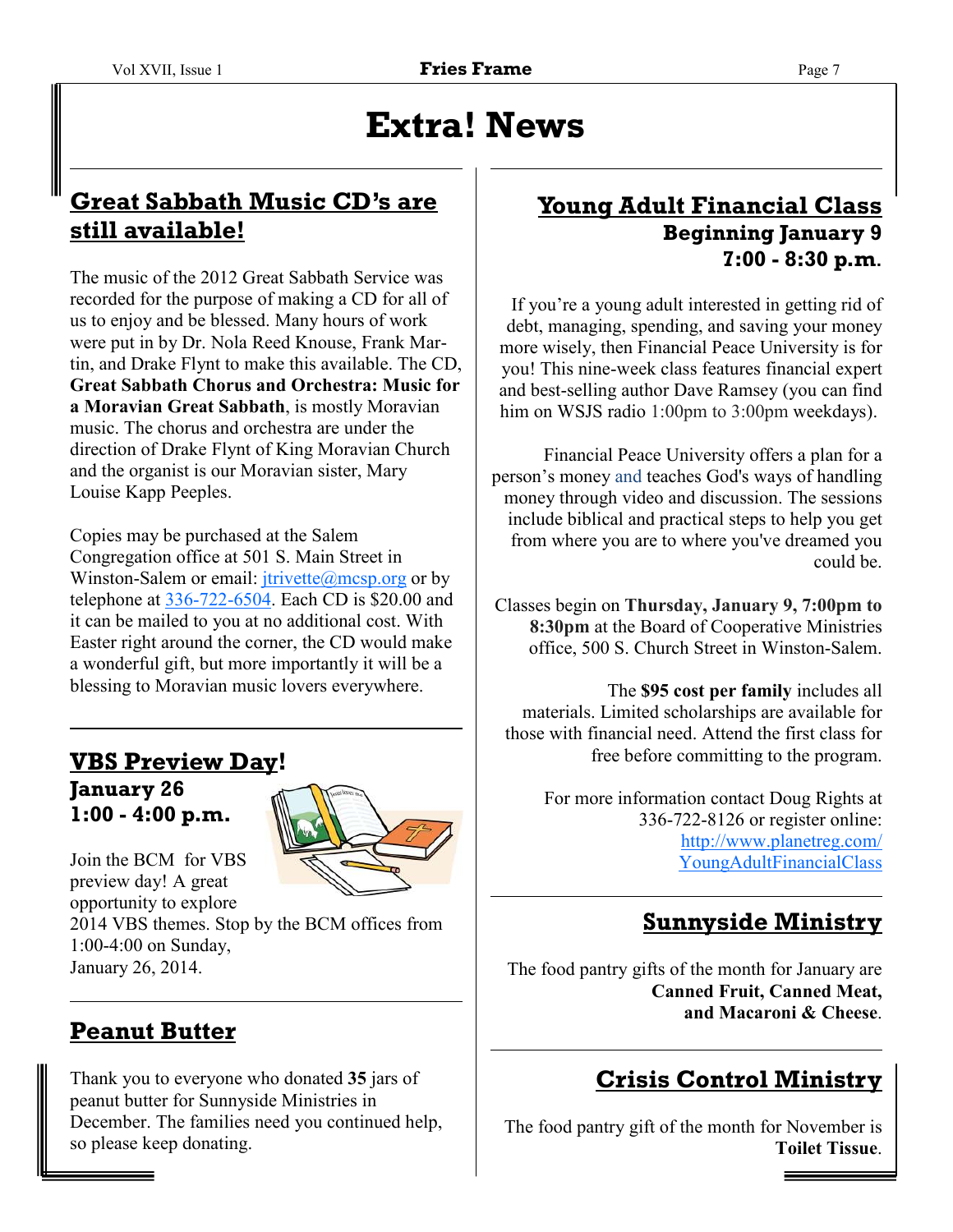# **Extra! News**

### **Great Sabbath Music CD's are still available!**

The music of the 2012 Great Sabbath Service was recorded for the purpose of making a CD for all of us to enjoy and be blessed. Many hours of work were put in by Dr. Nola Reed Knouse, Frank Martin, and Drake Flynt to make this available. The CD, **Great Sabbath Chorus and Orchestra: Music for a Moravian Great Sabbath**, is mostly Moravian music. The chorus and orchestra are under the direction of Drake Flynt of King Moravian Church and the organist is our Moravian sister, Mary Louise Kapp Peeples.

Copies may be purchased at the Salem Congregation office at 501 S. Main Street in Winston-Salem or email:  $itrivette@mesp.org$  or by telephone at 336-722-6504. Each CD is \$20.00 and it can be mailed to you at no additional cost. With Easter right around the corner, the CD would make a wonderful gift, but more importantly it will be a blessing to Moravian music lovers everywhere.

### **VBS Preview Day! January 26 1:00 - 4:00 p.m.**



Join the BCM for VBS preview day! A great opportunity to explore

2014 VBS themes. Stop by the BCM offices from 1:00-4:00 on Sunday, January 26, 2014.

# **Peanut Butter**

Thank you to everyone who donated **35** jars of peanut butter for Sunnyside Ministries in December. The families need you continued help, so please keep donating.

### **Young Adult Financial Class Beginning January 9 7:00 - 8:30 p.m**.

If you're a young adult interested in getting rid of debt, managing, spending, and saving your money more wisely, then Financial Peace University is for you! This nine-week class features financial expert and best-selling author Dave Ramsey (you can find him on WSJS radio 1:00pm to 3:00pm weekdays).

Financial Peace University offers a plan for a person's money and teaches God's ways of handling money through video and discussion. The sessions include biblical and practical steps to help you get from where you are to where you've dreamed you could be.

Classes begin on **Thursday, January 9, 7:00pm to 8:30pm** at the Board of Cooperative Ministries office, 500 S. Church Street in Winston-Salem.

The **\$95 cost per family** includes all materials. Limited scholarships are available for those with financial need. Attend the first class for free before committing to the program.

> For more information contact Doug Rights at 336-722-8126 or register online: http://www.planetreg.com/ YoungAdultFinancialClass

### **Sunnyside Ministry**

The food pantry gifts of the month for January are **Canned Fruit, Canned Meat, and Macaroni & Cheese**.

# **Crisis Control Ministry**

The food pantry gift of the month for November is **Toilet Tissue**.